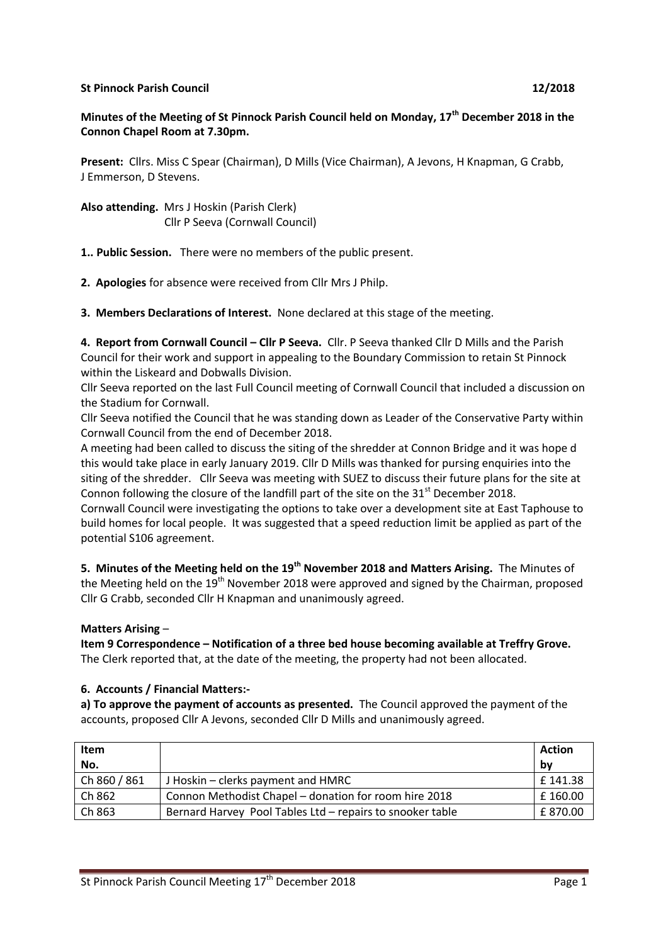#### **St Pinnock Parish Council 12/2018**

# **Minutes of the Meeting of St Pinnock Parish Council held on Monday, 17th December 2018 in the Connon Chapel Room at 7.30pm.**

**Present:** Cllrs. Miss C Spear (Chairman), D Mills (Vice Chairman), A Jevons, H Knapman, G Crabb, J Emmerson, D Stevens.

**Also attending.** Mrs J Hoskin (Parish Clerk) Cllr P Seeva (Cornwall Council)

**1.. Public Session.** There were no members of the public present.

**2. Apologies** for absence were received from Cllr Mrs J Philp.

**3. Members Declarations of Interest.** None declared at this stage of the meeting.

**4. Report from Cornwall Council – Cllr P Seeva.** Cllr. P Seeva thanked Cllr D Mills and the Parish Council for their work and support in appealing to the Boundary Commission to retain St Pinnock within the Liskeard and Dobwalls Division.

Cllr Seeva reported on the last Full Council meeting of Cornwall Council that included a discussion on the Stadium for Cornwall.

Cllr Seeva notified the Council that he was standing down as Leader of the Conservative Party within Cornwall Council from the end of December 2018.

A meeting had been called to discuss the siting of the shredder at Connon Bridge and it was hope d this would take place in early January 2019. Cllr D Mills was thanked for pursing enquiries into the siting of the shredder. Cllr Seeva was meeting with SUEZ to discuss their future plans for the site at Connon following the closure of the landfill part of the site on the  $31<sup>st</sup>$  December 2018.

Cornwall Council were investigating the options to take over a development site at East Taphouse to build homes for local people. It was suggested that a speed reduction limit be applied as part of the potential S106 agreement.

**5. Minutes of the Meeting held on the 19th November 2018 and Matters Arising.** The Minutes of the Meeting held on the  $19<sup>th</sup>$  November 2018 were approved and signed by the Chairman, proposed Cllr G Crabb, seconded Cllr H Knapman and unanimously agreed.

# **Matters Arising** –

**Item 9 Correspondence – Notification of a three bed house becoming available at Treffry Grove.**  The Clerk reported that, at the date of the meeting, the property had not been allocated.

# **6. Accounts / Financial Matters:-**

**a) To approve the payment of accounts as presented.** The Council approved the payment of the accounts, proposed Cllr A Jevons, seconded Cllr D Mills and unanimously agreed.

| Item<br>No.  |                                                           | <b>Action</b><br>b٧ |
|--------------|-----------------------------------------------------------|---------------------|
| Ch 860 / 861 | J Hoskin - clerks payment and HMRC                        | £141.38             |
| Ch 862       | Connon Methodist Chapel - donation for room hire 2018     | £160.00             |
| Ch 863       | Bernard Harvey Pool Tables Ltd - repairs to snooker table | £870.00             |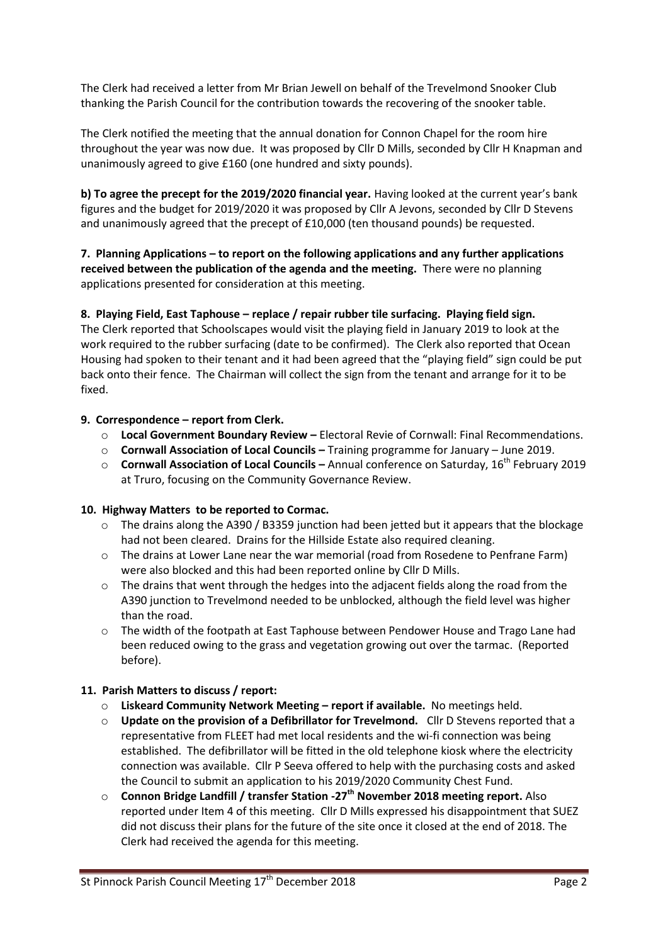The Clerk had received a letter from Mr Brian Jewell on behalf of the Trevelmond Snooker Club thanking the Parish Council for the contribution towards the recovering of the snooker table.

The Clerk notified the meeting that the annual donation for Connon Chapel for the room hire throughout the year was now due. It was proposed by Cllr D Mills, seconded by Cllr H Knapman and unanimously agreed to give £160 (one hundred and sixty pounds).

**b) To agree the precept for the 2019/2020 financial year.** Having looked at the current year's bank figures and the budget for 2019/2020 it was proposed by Cllr A Jevons, seconded by Cllr D Stevens and unanimously agreed that the precept of £10,000 (ten thousand pounds) be requested.

**7. Planning Applications – to report on the following applications and any further applications received between the publication of the agenda and the meeting.** There were no planning applications presented for consideration at this meeting.

# **8. Playing Field, East Taphouse – replace / repair rubber tile surfacing. Playing field sign.**

The Clerk reported that Schoolscapes would visit the playing field in January 2019 to look at the work required to the rubber surfacing (date to be confirmed). The Clerk also reported that Ocean Housing had spoken to their tenant and it had been agreed that the "playing field" sign could be put back onto their fence. The Chairman will collect the sign from the tenant and arrange for it to be fixed.

#### **9. Correspondence – report from Clerk.**

- o **Local Government Boundary Review –** Electoral Revie of Cornwall: Final Recommendations.
- o **Cornwall Association of Local Councils –** Training programme for January June 2019.
- o **Cornwall Association of Local Councils –** Annual conference on Saturday, 16th February 2019 at Truro, focusing on the Community Governance Review.

# **10. Highway Matters to be reported to Cormac.**

- $\circ$  The drains along the A390 / B3359 junction had been jetted but it appears that the blockage had not been cleared. Drains for the Hillside Estate also required cleaning.
- $\circ$  The drains at Lower Lane near the war memorial (road from Rosedene to Penfrane Farm) were also blocked and this had been reported online by Cllr D Mills.
- $\circ$  The drains that went through the hedges into the adjacent fields along the road from the A390 junction to Trevelmond needed to be unblocked, although the field level was higher than the road.
- o The width of the footpath at East Taphouse between Pendower House and Trago Lane had been reduced owing to the grass and vegetation growing out over the tarmac. (Reported before).

# **11. Parish Matters to discuss / report:**

- o **Liskeard Community Network Meeting – report if available.** No meetings held.
- o **Update on the provision of a Defibrillator for Trevelmond.** Cllr D Stevens reported that a representative from FLEET had met local residents and the wi-fi connection was being established. The defibrillator will be fitted in the old telephone kiosk where the electricity connection was available. Cllr P Seeva offered to help with the purchasing costs and asked the Council to submit an application to his 2019/2020 Community Chest Fund.
- o **Connon Bridge Landfill / transfer Station -27th November 2018 meeting report.** Also reported under Item 4 of this meeting. Cllr D Mills expressed his disappointment that SUEZ did not discuss their plans for the future of the site once it closed at the end of 2018. The Clerk had received the agenda for this meeting.